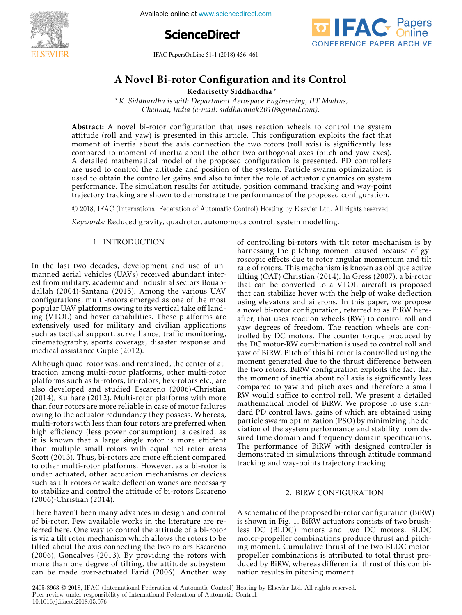

**4th International Available online at www.sciencedirect.com** 





IFAC PapersOnLine  $51-1$  (2018) 456–461

#### or Configuration a  $\mathbf{A} \mathbf{N} = \mathbf{I} \mathbf{P} \mathbf{A} \mathbf{C} \mathbf{C} \mathbf{C} \mathbf{A}$ A Novel Bi-rotor Configuration and its Control

Kedarisetty Siddhardha ∗ Kedarisetty Siddhardha ∗

∗*K. Siddhardha is with Department Aerospace Engineering, IIT Madras, Chennai, India (e-mail: siddhardhak2010@gmail.com).* ∗*K. Siddhardha is with Department Aerospace Engineering, IIT Madras,* ∗*K. Siddhardha is with Department Aerospace Engineering, IIT Madras,* Kedarisetty Siddhardha ∗ *Chennai, India (e-mail: siddhardhak2010@gmail.com). Chennai, India (e-mail: siddhardhak2010@gmail.com).* ∗*K. Siddhardha is with Department Aerospace Engineering, IIT Madras, Chennai, India (e-mail: siddhardhak2010@gmail.com).* ∗*K. Siddhardha is with Department Aerospace Engineering, IIT Madras,*

attitude (roll and yaw) is presented in this article. This configuration exploits the fact that moment of inertia about the axis connection the two rotors (roll axis) is significantly less compared to moment of inertia about the other two rotors (for axis) is significantly ress<br>compared to moment of inertia about the other two orthogonal axes (pitch and yaw axes). compared to moment of mertia about the other two orthogonal axes (pitch and yaw axes).<br>A detailed mathematical model of the proposed configuration is presented. PD controllers A detailed mathematical model of the proposed comiguration is presented. TD controllers<br>are used to control the attitude and position of the system. Particle swarm optimization is used to control the attribute and position of the system. Farticle swarm optimization is<br>used to obtain the controller gains and also to infer the role of actuator dynamics on system performance. The simulation results for attitude, position command tracking and way-point performance. The simulation results for attitude, position command tracking and way point<br>trajectory tracking are shown to demonstrate the performance of the proposed configuration. Abstract: A novel bi-rotor configuration that uses reaction wheels to control the system trajectory tracking are shown to demonstrate the performance of the proposed configuration.  $\mu_{\text{rel}}$  to obtain the controller gains and also to infer the role of  $\mu_{\text{rel}}$  and  $\mu_{\text{rel}}$  and  $\mu_{\text{rel}}$  and  $\mu_{\text{rel}}$  and  $\mu_{\text{rel}}$  and  $\mu_{\text{rel}}$  and  $\mu_{\text{rel}}$  and  $\mu_{\text{rel}}$  and  $\mu_{\text{rel}}$  and  $\mu_{\text{rel}}$  and performance of the simulation results for a simulation results for a temporal commutation.  $\alpha$  momentum matter of intertional momentum the two rotors (roll axis connection the two rotors (roll axis connection to  $\alpha$ ) is significantly less connection to  $\alpha$  $\mu$ -used to control the signal position the attitude and position of the system. Particle system is a property of the system of the system of  $\mu$ trajectory tracking are shown to demonstrate the performance of the proposed comiguration.

© 2018, IFAC (International Federation of Automatic Control) Hosting by Elsevier Ltd. All rights reserved. trajectory tracking are shown to demonstrate the performance of the proposed configuration. *Keywords:* Reduced gravity, quadrotor, autonomous control, system modelling.  $\odot$  2018, IFAC (International Federation of Automatic Control) Hosting by Elsevier Ltd. All rights reserved.

*Keywords:* Reduced gravity, quadrotor, autonomous control, system modelling. *Keywords:* Reduced gravity, quadrotor, autonomous control, system modelling. *Keywords:* Reduced gravity, quadrotor, autonomous control, system modelling. trajectory trajectory trajectory tracking are shown to demonstrate the performance of the performance of the p

#### 1. INTRODUCTION 1. INTRODUCTION 1. INTRODUCTION 1. INTRODUCTION

In the last two decades, development and use of unmanned aerial vehicles (UAVs) received abundant interest from military, academic and industrial sectors Bouabdallah (2004)-Santana (2015). Among the various UAV configurations, multi-rotors emerged as one of the most popular UAV platforms owing to its vertical take off landing (VTOL) and hover capabilities. These platforms are extensively used for military and civilian applications such as tactical support, surveillance, traffic monitoring, cinematography, sports coverage, disaster response and medical assistance Gupte (2012). medical assistance Gupte (2012). cinematography, sports coverage, disaster response and  $\mathcal{I}(\mathcal{A})$  the last two decades, decades, decades, decades, decades, decades, decades, and use of un-In the last two decades, development and use of un- $\mathbf{A}$  and rotor was defined on  $\mathbf{A}$  and  $\mathbf{A}$  at  $\mathbf{A}$  $m$ edical assistance Gupte  $(2012)$ . emematography, sports coverage, assaster response and<br>medical assistance Gunte (2012)  $r_{\text{c}}$ cinematography, sports coverage, disaster response and  $\frac{1}{2}$ 

Although quad-rotor was, and remained, the center of attraction among multi-rotor platforms, other multi-rotor platforms such as bi-rotors, tri-rotors, hex-rotors etc., are also developed and studied Escareno (2006)-Christian  $(2014)$ , Kulhare (2012). Multi-rotor platforms with more<br>than four rotors are more reliable in case of motor failures than four rotors are more reliable in case of motor failures owing to the actuator redundancy they possess. Whereas, multi-rotors with less than four rotors are preferred when high efficiency (less power consumption) is desired, as it is known that a large single rotor is more efficient than multiple small rotors with equal net rotor areas<br>Scott (2013) Thus bi-rotors are more efficient compared Scott (2013). Thus, bi-rotors are more efficient compared to other multi-rotor platforms. However, as a bi-rotor is under actuated, other actuation mechanisms or devices<br>such as tilt-rotors or wake deflection wanes are necessary such as tilt-rotors or wake deflection wanes are necessary to stabilize and control the attitude of bi-rotors Escareno<br>(2006)-Christian (2014) (2006)-Christian (2014). (2006)-Christian (2014). Although quad-rotor was, and remained, the center of at- $T$  and  $T$  advances in design and control  $T$  $(2000)$ -Christian  $(2011)$ .  $s$  contains and control the attitude or or rotors escarcing  $(2006)$ . Christian  $(2014)$  $\frac{1}{2000}$  controlled  $\frac{1}{201}$ .

There haven't been many advances in design and control of bi-rotor. Few available works in the literature are referred here. One way to control the attitude of a bi-rotor is via a tilt rotor mechanism which allows the rotors to be tilted about the axis connecting the two rotors Escareno  $(2006)$ , Goncalves (2013). By providing the rotors with more than one degree of tilting the attitude subsystem  $(2006)$ , Goncalves  $(2015)$ . By providing the rotors with more than one degree of tilting, the attitude subsystem can be made over-actuated Farid (2006). Another way can be made over-actuated Farid (2006). Another way more than one degree of tilting, the attitude subsystem can be made over-actuated Farid (2000). Another way more than one acgree or thing, the attitude sassystem can be made over accuracy raing, poop, informer may

of controlling bi-rotors with tilt rotor mechanism is by of controlling of rotors with tilt rotor mechanism is by rainteeding the preming moment caused because of gy rate of rotors. This mechanism is known as oblique active tilting (OAT) Christian (2014). In Gress (2007), a bi-rotor that can be converted to a VTOL aircraft is proposed that can stabilize hover with the help of wake deflection using elevators and allerons. In this paper, we propose<br>a novel bi-rotor configuration referred to as RiRW berea novel bi-rotor configuration, referred to as BiRW herea hover of rotor comiganation, reteried to as bitwee here yaw degrees of freedom. The reaction wheels are controlled by DC motors. The counter torque produced by the DC motor-RW combination is used to control roll and yaw of BiRW. Pitch of this bi-rotor is controlled using the moment generated due to the thrust difference between the two rotors. BiRW configuration exploits the fact that the moment of inertia about roll axis is significantly less compared to yaw and pitch axes and therefore a small RW would suffice to control roll. We present a detailed mathematical model of BiRW. We propose to use standard PD control laws, gains of which are obtained using particle swarm optimization (PSO) by minimizing the de- $\mu$  and the system performance and stability from deviation of the system performance and stability from deration of the system performance and studinty from de-<br>sired time domain and frequency domain specifications. The performance of BiRW with designed controller is demonstrated in simulations through attitude command tracking and way-points trajectory tracking. tracking and way-points trajectory tracking. demonstrated in simulations through attitude command of controlling bi-rotors with tilt rotors with tilt rotors with tilt rotor  $\alpha$ of controlling bi-rotors with tilt rotor mechanism is by tracking and way-points trajectory tracking. *Keywords:* Reduced gravity, quadrotor, autonomous control, system modelling. the DC motor KW combination is used to control roll and<br>yaw of BiRW. Pitch of this bi-rotor is controlled using the<br>moment generated due to the thrust difference between<br>the two rotors. BiRW configuration exploits the fact achonomated in omnatations infough attricace command demonstrated in simulations through attentions.

#### 2. BIRW CONFIGURATION 2. BIRW CONFIGURATION 2. BIRW CONFIGURATION **2.** BIRW CONFIGURATION

A schematic of the proposed bi-rotor configuration (BiRW) restreamatic of the proposed of rotor comiguration (BiRW)<br>is shown in Fig. 1. BiRW actuators consists of two brushless DC (BLDC) motors and two DC motors. BLDC motor-propeller combinations produce thrust and pitching moment. Cumulative thrust of the two BLDC motorpropeller combinations is attributed to total thrust produced by BiRW, whereas differential thrust of this combianced by BiRW, whereas differential thrust of this combi-<br>nation results in pitching moment.  $A \rightarrow \infty$  schematic of the proposed bi-rotor configuration (BiRW)  $\sim$ nation results in pitching moment. propeller combinations interference to the combination results in pitching moment duced by Birms of the BiRW and the three three three three three three three three three three three three three three three three three three three three three three three three three three three three three three three t

2405-8963 © 2018, IFAC (International Federation of Automatic Control) Hosting by Elsevier Ltd. All rights reserved. Peer review under responsibility of International Federation of Automatic Control.<br>
19 1016  $k$ :  $\Omega$  and  $\Omega$  **488 Co**  $\Omega$ <sup>76</sup> 10.1016/j.ifacol.2018.05.076 **Copyright © 2018 IFAC 488**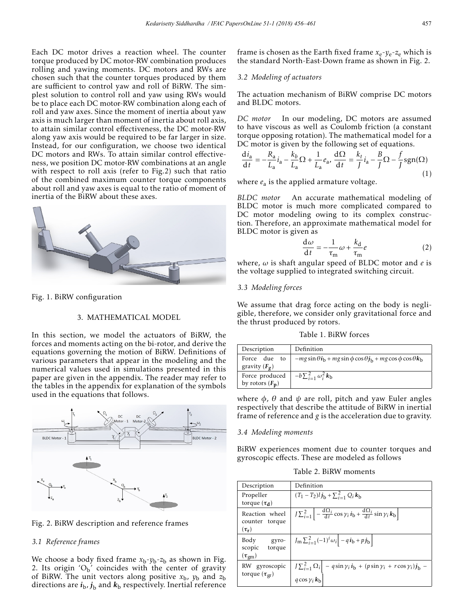Each DC motor drives a reaction wheel. The counter torque produced by DC motor-RW combination produces rolling and yawing moments. DC motors and RWs are chosen such that the counter torques produced by them are sufficient to control yaw and roll of BiRW. The simplest solution to control roll and yaw using RWs would be to place each DC motor-RW combination along each of roll and yaw axes. Since the moment of inertia about yaw axis is much larger than moment of inertia about roll axis, to attain similar control effectiveness, the DC motor-RW along yaw axis would be required to be far larger in size. Instead, for our configuration, we choose two identical DC motors and RWs. To attain similar control effectiveness, we position DC motor-RW combinations at an angle with respect to roll axis (refer to Fig.2) such that ratio of the combined maximum counter torque components about roll and yaw axes is equal to the ratio of moment of inertia of the BiRW about these axes.



Fig. 1. BiRW configuration

## 3. MATHEMATICAL MODEL

In this section, we model the actuators of BiRW, the forces and moments acting on the bi-rotor, and derive the equations governing the motion of BiRW. Definitions of various parameters that appear in the modeling and the numerical values used in simulations presented in this paper are given in the appendix. The reader may refer to the tables in the appendix for explanation of the symbols used in the equations that follows.



Fig. 2. BiRW description and reference frames

# *3.1 Reference frames*

We choose a body fixed frame  $x_b$ - $y_b$ - $z_b$  as shown in Fig. 2. Its origin  $O_b'$  coincides with the center of gravity of BiRW. The unit vectors along positive  $x<sub>b</sub>$ ,  $y<sub>b</sub>$  and  $z<sub>b</sub>$ directions are  $i_{\rm b}$ ,  $j_{\rm b}$  and  $k_{\rm b}$  respectively. Inertial reference

frame is chosen as the Earth fixed frame  $x_e - y_e - z_e$  which is the standard North-East-Down frame as shown in Fig. 2.

## *3.2 Modeling of actuators*

The actuation mechanism of BiRW comprise DC motors and BLDC motors.

*DC motor* In our modeling, DC motors are assumed to have viscous as well as Coulomb friction (a constant torque opposing rotation). The mathematical model for a DC motor is given by the following set of equations.

$$
\frac{\mathrm{d}i_a}{\mathrm{d}t} = -\frac{R_a}{L_a}i_a - \frac{k_b}{L_a}\Omega + \frac{1}{L_a}e_a, \frac{\mathrm{d}\Omega}{\mathrm{d}t} = \frac{k_t}{J}i_a - \frac{B}{J}\Omega - \frac{f}{J}\mathrm{sgn}(\Omega) \tag{1}
$$

where  $e_a$  is the applied armature voltage.

*BLDC motor* An accurate mathematical modeling of BLDC motor is much more complicated compared to DC motor modeling owing to its complex construction. Therefore, an approximate mathematical model for BLDC motor is given as

$$
\frac{d\omega}{dt} = -\frac{1}{\tau_m}\omega + \frac{k_d}{\tau_m}e\tag{2}
$$

where, *ω* is shaft angular speed of BLDC motor and *e* is the voltage supplied to integrated switching circuit.

# *3.3 Modeling forces*

We assume that drag force acting on the body is negligible, therefore, we consider only gravitational force and the thrust produced by rotors.

Table 1. BiRW forces

| Description                                                                           | Definition                                                                                  |
|---------------------------------------------------------------------------------------|---------------------------------------------------------------------------------------------|
| Force due to<br>gravity $(F_{\sigma})$                                                | $-mg\sin\theta i_{\rm h} + mg\sin\phi\cos\theta j_{\rm h} + mg\cos\phi\cos\theta k_{\rm h}$ |
| Force produced $\vert -b \sum_{i=1}^{2} \omega_i^2 \mathbf{k}_b$<br>by rotors $(F_n)$ |                                                                                             |

where  $\phi$ ,  $\theta$  and  $\psi$  are roll, pitch and yaw Euler angles respectively that describe the attitude of BiRW in inertial frame of reference and *g* is the acceleration due to gravity.

## *3.4 Modeling moments*

BiRW experiences moment due to counter torques and gyroscopic effects. These are modeled as follows

Table 2. BiRW moments

| Description                                        | Definition                                                                                                                       |
|----------------------------------------------------|----------------------------------------------------------------------------------------------------------------------------------|
| Propeller<br>torque $(\tau_d)$                     | $(T_1 - T_2)l j_b + \sum_{i=1}^{2} Q_i k_b$                                                                                      |
| Reaction wheel<br>counter torque<br>$(\tau_r)$     | $J\sum_{i=1}^{2}\left[-\frac{d\Omega_{i}}{dt}\cos\gamma_{i}i_{b}+\frac{d\Omega_{i}}{dt}\sin\gamma_{i}k_{b}\right]$               |
| Body<br>gyro-<br>scopic<br>torque<br>$(\tau_{gm})$ | $J_{\rm m} \sum_{i=1}^{2} (-1)^{i} \omega_i - q i_{\rm b} + p j_{\rm b}$                                                         |
| gyroscopic<br>RW<br>torque $(\tau_{gr})$           | $J\sum_{i=1}^{2}\Omega_i\Big[-q\sin\gamma_i i_{\rm b} + (p\sin\gamma_i + r\cos\gamma_i)j_{\rm b} - q\cos\gamma_i k_{\rm b}\Big]$ |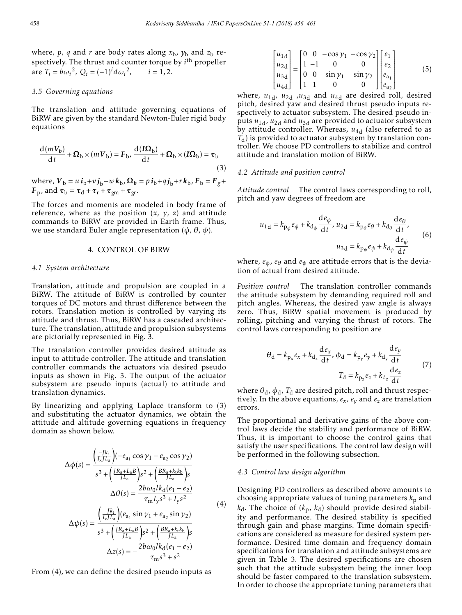where, *p*, *q* and *r* are body rates along  $x<sub>b</sub>$ ,  $y<sub>b</sub>$  and  $z<sub>b</sub>$  respectively. The thrust and counter torque by *i*th propeller are  $T_i = b\omega_i^2$ ,  $Q_i = (-1)^i d\omega_i$  $i = 1.2$ .

### *3.5 Governing equations*

The translation and attitude governing equations of BiRW are given by the standard Newton-Euler rigid body equations

$$
\frac{d(mV_b)}{dt} + \Omega_b \times (mV_b) = F_b, \frac{d(\mathbf{\Omega}_b)}{dt} + \Omega_b \times (I\Omega_b) = \tau_b
$$
\n(3)

 $w$  *where,*  $V_b = u i_b + v j_b + w k_b$ ,  $\Omega_b = p i_b + q j_b + r k_b$ ,  $F_b = F_g + r$ *F*<sub>p</sub>, and  $\tau_b = \tau_d + \tau_r + \tau_{gm} + \tau_{gr}$ .

The forces and moments are modeled in body frame of reference, where as the position  $(x, y, z)$  and attitude commands to BiRW are provided in Earth frame. Thus, we use standard Euler angle representation (*φ*, *θ*, *ψ*).

### 4. CONTROL OF BIRW

### *4.1 System architecture*

Translation, attitude and propulsion are coupled in a BiRW. The attitude of BiRW is controlled by counter torques of DC motors and thrust difference between the rotors. Translation motion is controlled by varying its attitude and thrust. Thus, BiRW has a cascaded architecture. The translation, attitude and propulsion subsystems are pictorially represented in Fig. 3.

The translation controller provides desired attitude as input to attitude controller. The attitude and translation controller commands the actuators via desired pseudo inputs as shown in Fig. 3. The output of the actuator subsystem are pseudo inputs (actual) to attitude and translation dynamics.

By linearizing and applying Laplace transform to (3) and substituting the actuator dynamics, we obtain the attitude and altitude governing equations in frequency domain as shown below.

$$
\Delta \phi(s) = \frac{\left(\frac{-Jk_t}{I_x/L_a}\right)(-e_{a_1}\cos\gamma_1 - e_{a_2}\cos\gamma_2)}{s^3 + \left(\frac{JR_a + L_aB}{JL_a}\right)s^2 + \left(\frac{BR_a + k_tk_b}{JL_a}\right)s}
$$

$$
\Delta \theta(s) = \frac{2b\omega_0Ik_d(e_1 - e_2)}{\tau_mI_ys^3 + I_ys^2}
$$
(4)

$$
\Delta \psi(s) = \frac{\left(\frac{-jk_t}{I_z/L_a}\right)(e_{a_1} \sin \gamma_1 + e_{a_2} \sin \gamma_2)}{s^3 + \left(\frac{JR_a + L_aB}{JL_a}\right)s^2 + \left(\frac{BR_a + k_tk_b}{JL_a}\right)s}
$$

$$
\Delta z(s) = -\frac{2b\omega_0 lk_d(e_1 + e_2)}{\tau_m s^3 + s^2}
$$

From (4), we can define the desired pseudo inputs as

$$
\begin{bmatrix} u_{1\text{d}} \\ u_{2\text{d}} \\ u_{3\text{d}} \\ u_{4\text{d}} \end{bmatrix} = \begin{bmatrix} 0 & 0 & -\cos\gamma_1 & -\cos\gamma_2 \\ 1 & -1 & 0 & 0 \\ 0 & 0 & \sin\gamma_1 & \sin\gamma_2 \\ 1 & 1 & 0 & 0 \end{bmatrix} \begin{bmatrix} e_1 \\ e_2 \\ e_{a_1} \\ e_{a_2} \end{bmatrix}
$$
(5)

where,  $u_{1d}$ ,  $u_{2d}$ ,  $u_{3d}$  and  $u_{4d}$  are desired roll, desired pitch, desired yaw and desired thrust pseudo inputs respectively to actuator subsystem. The desired pseudo inputs  $u_{1d}$ ,  $u_{2d}$  and  $u_{3d}$  are provided to actuator subsystem by attitude controller. Whereas,  $u_{4d}$  (also referred to as *T*d) is provided to actuator subsystem by translation controller. We choose PD controllers to stabilize and control attitude and translation motion of BiRW.

## *4.2 Attitude and position control*

*Attitude control* The control laws corresponding to roll, pitch and yaw degrees of freedom are

$$
u_{1d} = k_{p_{\phi}} e_{\phi} + k_{d_{\phi}} \frac{de_{\phi}}{dt}, u_{2d} = k_{p_{\theta}} e_{\theta} + k_{d_{\theta}} \frac{de_{\theta}}{dt},
$$

$$
u_{3d} = k_{p_{\psi}} e_{\psi} + k_{d_{\psi}} \frac{de_{\psi}}{dt}
$$
(6)

where,  $e_{\phi}$ ,  $e_{\theta}$  and  $e_{\psi}$  are attitude errors that is the deviation of actual from desired attitude.

*Position control* The translation controller commands the attitude subsystem by demanding required roll and pitch angles. Whereas, the desired yaw angle is always zero. Thus, BiRW spatial movement is produced by rolling, pitching and varying the thrust of rotors. The control laws corresponding to position are

$$
\theta_{\rm d} = k_{\rm p_x} e_x + k_{\rm d_x} \frac{\rm d e_x}{\rm d t}, \phi_{\rm d} = k_{\rm p_y} e_y + k_{\rm d_y} \frac{\rm d e_y}{\rm d t}
$$
\n
$$
T_{\rm d} = k_{\rm p_z} e_z + k_{\rm d_z} \frac{\rm d e_z}{\rm d t}
$$
\n
$$
(7)
$$

where  $\theta_d$ ,  $\phi_d$ ,  $T_d$  are desired pitch, roll and thrust respectively. In the above equations,  $e_x$ ,  $e_y$  and  $e_z$  are translation errors.

The proportional and derivative gains of the above control laws decide the stability and performance of BiRW. Thus, it is important to choose the control gains that satisfy the user specifications. The control law design will be performed in the following subsection.

#### *4.3 Control law design algorithm*

Designing PD controllers as described above amounts to choosing appropriate values of tuning parameters  $k_p$  and  $k_d$ . The choice of  $(k_p, k_d)$  should provide desired stability and performance. The desired stability is specified through gain and phase margins. Time domain specifications are considered as measure for desired system performance. Desired time domain and frequency domain specifications for translation and attitude subsystems are given in Table 3. The desired specifications are chosen such that the attitude subsystem being the inner loop should be faster compared to the translation subsystem. In order to choose the appropriate tuning parameters that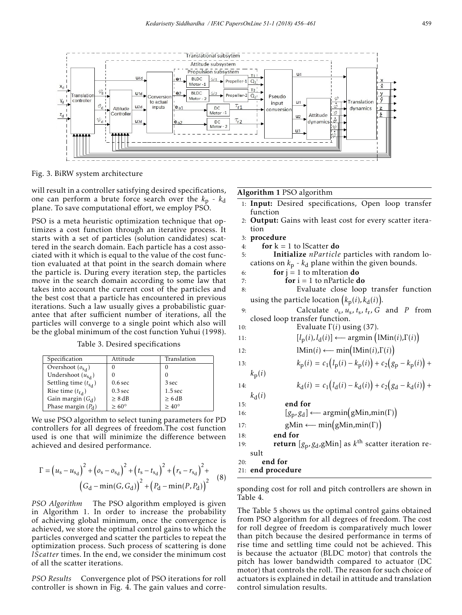

Fig. 3. BiRW system architecture

will result in a controller satisfying desired specifications, one can perform a brute force search over the  $k_p - k_d$ plane. To save computational effort, we employ PSO.

PSO is a meta heuristic optimization technique that optimizes a cost function through an iterative process. It starts with a set of particles (solution candidates) scattered in the search domain. Each particle has a cost associated with it which is equal to the value of the cost function evaluated at that point in the search domain where the particle is. During every iteration step, the particles move in the search domain according to some law that takes into account the current cost of the particles and the best cost that a particle has encountered in previous iterations. Such a law usually gives a probabilistic guarantee that after sufficient number of iterations, all the particles will converge to a single point which also will be the global minimum of the cost function Yuhui (1998).

Table 3. Desired specifications

| Specification                | Attitude           | Translation        |
|------------------------------|--------------------|--------------------|
| Overshoot $(o_{\rm sd})$     | O                  |                    |
| Undershoot $(u_{s_d})$       |                    |                    |
| Settling time $(t_{\rm Sd})$ | 0.6 <sub>sec</sub> | 3 sec              |
| Rise time $(t_{r_d})$        | $0.3$ sec          | 1.5 <sub>sec</sub> |
| Gain margin $(G_d)$          | > 8 dB             | > 6 dB             |
| Phase margin $(P_d)$         | $>60^{\circ}$      | $> 40^{\circ}$     |

We use PSO algorithm to select tuning parameters for PD controllers for all degrees of freedom.The cost function used is one that will minimize the difference between achieved and desired performance.

$$
\Gamma = (u_s - u_{s_d})^2 + (o_s - o_{s_d})^2 + (t_s - t_{s_d})^2 + (r_s - r_{s_d})^2 + (o_s - \min(G, G_d))^2 + (P_d - \min(P, P_d))^2
$$
(8)

*PSO Algorithm* The PSO algorithm employed is given in Algorithm 1. In order to increase the probability of achieving global minimum, once the convergence is achieved, we store the optimal control gains to which the particles converged and scatter the particles to repeat the optimization process. Such process of scattering is done *lScatter* times. In the end, we consider the minimum cost of all the scatter iterations.

*PSO Results* Convergence plot of PSO iterations for roll controller is shown in Fig. 4. The gain values and correAlgorithm 1 PSO algorithm

- 1: Input: Desired specifications, Open loop transfer function
- 2: Output: Gains with least cost for every scatter iteration
- 3: procedure
- 4: for  $k = 1$  to lScatter do

5: Initialize *nParticle* particles with random locations on  $k_p$  -  $k_d$  plane within the given bounds.

- 6: **for**  $i = 1$  to mIteration **do**
- 7: **for**  $i = 1$  to nParticle **do**
- 8: Evaluate close loop transfer function using the particle location  $\left(k_\mathrm{p}(i), k_\mathrm{d}(i)\right)$ .
- 9: Calculate  $o_s$ ,  $u_s$ ,  $t_s$ ,  $t_r$ ,  $G$  and  $P$  from closed loop transfer function.
- 10: Evaluate  $\Gamma(i)$  using (37).

11: 
$$
[l_{p}(i), l_{d}(i)] \longleftarrow \text{argmin}\left( \text{lMin}(i), \Gamma(i) \right)
$$

12: 
$$
lMin(i) \longleftarrow min(lMin(i), \Gamma(i))
$$

13. 
$$
k_{\text{p}}(i) = c_1 (l_{\text{p}}(i) - k_{\text{p}}(i)) + c_2 (g_{\text{p}} - k_{\text{p}}(i)) +
$$

 $k_{\rm p}(i)$ 

14: 
$$
k_{d}(i) = c_{1}(l_{d}(i) - k_{d}(i)) + c_{2}(g_{d} - k_{d}(i)) +
$$

 $k_d(i)$ 15: end for

16: 
$$
[g_p, g_d] \longleftarrow argmin(gMin,min(\Gamma))
$$

- 17: gMin ← min(gMin,min(Γ))
- 18: end for
- 19: return [*g*p*,g*d,gMin] as *k*th scatter iteration result
- 20: end for
- 21: end procedure

sponding cost for roll and pitch controllers are shown in Table 4.

The Table 5 shows us the optimal control gains obtained from PSO algorithm for all degrees of freedom. The cost for roll degree of freedom is comparatively much lower than pitch because the desired performance in terms of rise time and settling time could not be achieved. This is because the actuator (BLDC motor) that controls the pitch has lower bandwidth compared to actuator (DC motor) that controls the roll. The reason for such choice of actuators is explained in detail in attitude and translation control simulation results.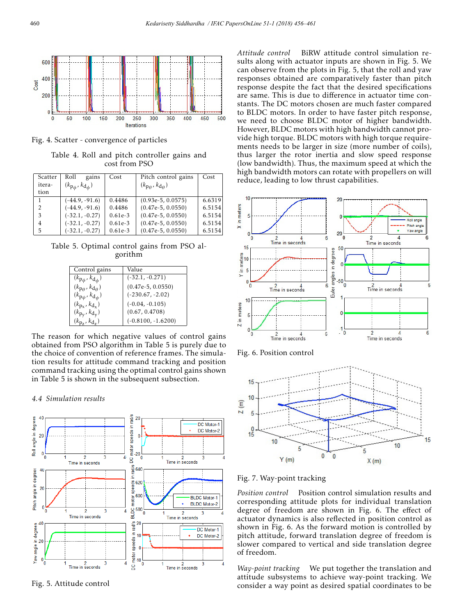

Fig. 4. Scatter - convergence of particles

Table 4. Roll and pitch controller gains and cost from PSO

| Scatter        | gains<br>Roll                                    | Cost      | Pitch control gains                              | Cost   |
|----------------|--------------------------------------------------|-----------|--------------------------------------------------|--------|
| itera-         | $(k_{\mathbf{p}_{\phi}}, k_{\mathbf{d}_{\phi}})$ |           | $(k_{\mathbf{p}_\theta}, k_{\mathbf{d}_\theta})$ |        |
| tion           |                                                  |           |                                                  |        |
| 1              | $(-44.9, -91.6)$                                 | 0.4486    | $(0.93e-5, 0.0575)$                              | 6.6319 |
| 2              | $(-44.9, -91.6)$                                 | 0.4486    | $(0.47e-5, 0.0550)$                              | 6.5154 |
| 3              | $(-32.1, -0.27)$                                 | $0.61e-3$ | $(0.47e-5, 0.0550)$                              | 6.5154 |
| $\overline{4}$ | $(-32.1, -0.27)$                                 | $0.61e-3$ | $(0.47e-5, 0.0550)$                              | 6.5154 |
| 5              | $(-32.1, -0.27)$                                 | $0.61e-3$ | $(0.47e-5, 0.0550)$                              | 6.5154 |

Table 5. Optimal control gains from PSO algorithm

| Control gains                                | Value                |
|----------------------------------------------|----------------------|
| $(k_{\rm p_{\phi}}, k_{\rm d_{\phi}})$       | $(-32.1, -0.271)$    |
| $(k_{\text{p}_\theta}, k_{\text{d}_\theta})$ | $(0.47e-5, 0.0550)$  |
| $(k_{\mathrm{p}_\psi}, k_{\mathrm{d}_\psi})$ | $(-230.67, -2.02)$   |
| $(k_{p_x}, k_{d_x})$                         | $(-0.04, -0.105)$    |
| $(k_{\rm pv}, k_{\rm dy})$                   | (0.67, 0.4708)       |
| $(k_{p_7}, k_{d_7})$                         | $(-0.8100, -1.6200)$ |

The reason for which negative values of control gains obtained from PSO algorithm in Table 5 is purely due to the choice of convention of reference frames. The simulation results for attitude command tracking and position command tracking using the optimal control gains shown in Table 5 is shown in the subsequent subsection.

## *4.4 Simulation results*



Fig. 5. Attitude control

*Attitude control* BiRW attitude control simulation results along with actuator inputs are shown in Fig. 5. We can observe from the plots in Fig. 5, that the roll and yaw responses obtained are comparatively faster than pitch response despite the fact that the desired specifications are same. This is due to difference in actuator time constants. The DC motors chosen are much faster compared to BLDC motors. In order to have faster pitch response, we need to choose BLDC motor of higher bandwidth. However, BLDC motors with high bandwidth cannot provide high torque. BLDC motors with high torque requirements needs to be larger in size (more number of coils), thus larger the rotor inertia and slow speed response (low bandwidth). Thus, the maximum speed at which the high bandwidth motors can rotate with propellers on will reduce, leading to low thrust capabilities.







Fig. 7. Way-point tracking

*Position control* Position control simulation results and corresponding attitude plots for individual translation degree of freedom are shown in Fig. 6. The effect of actuator dynamics is also reflected in position control as shown in Fig. 6. As the forward motion is controlled by pitch attitude, forward translation degree of freedom is slower compared to vertical and side translation degree of freedom.

*Way-point tracking* We put together the translation and attitude subsystems to achieve way-point tracking. We consider a way point as desired spatial coordinates to be